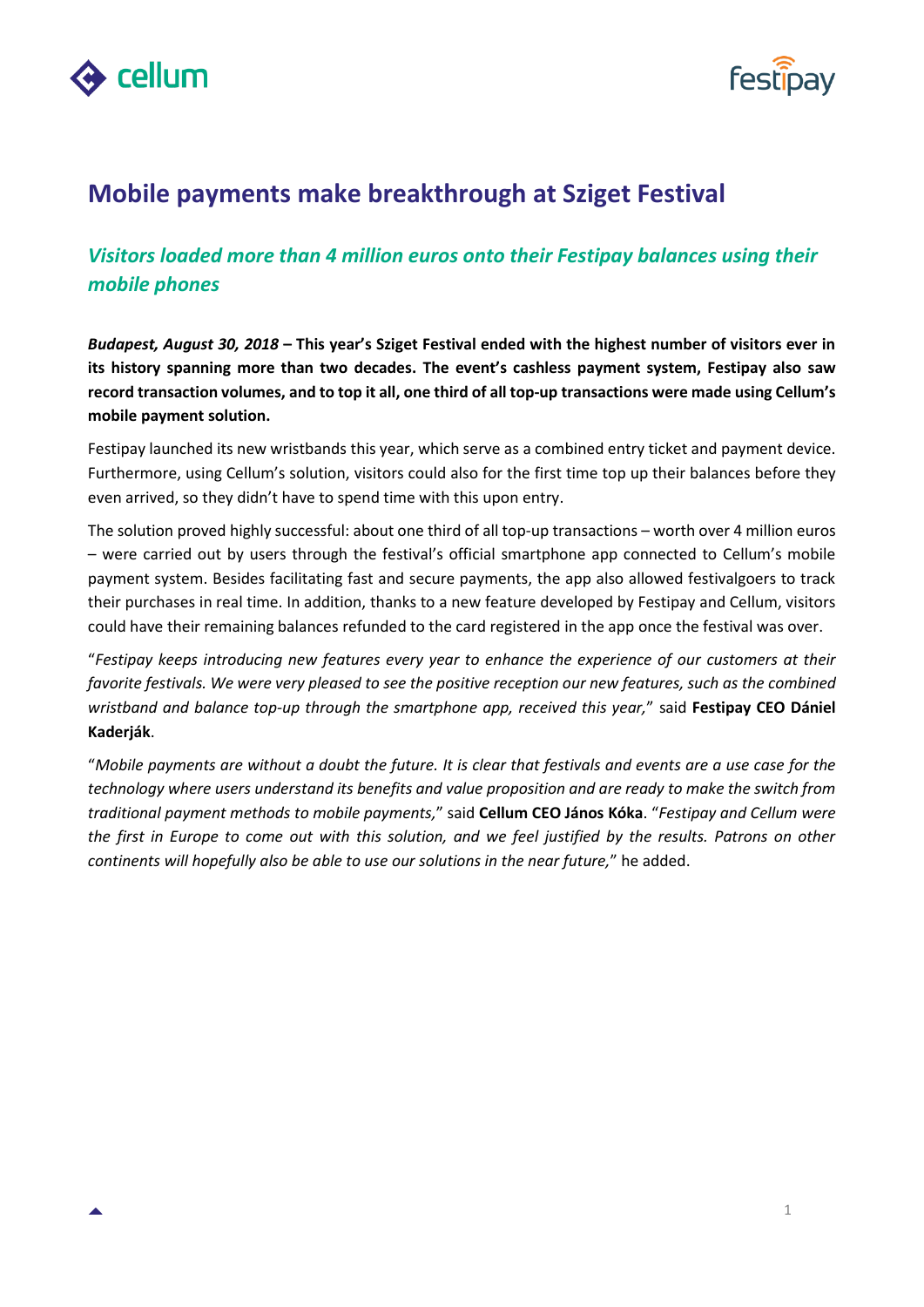



## **Mobile payments make breakthrough at Sziget Festival**

## *Visitors loaded more than 4 million euros onto their Festipay balances using their mobile phones*

*Budapest, August 30, 2018* **– This year's Sziget Festival ended with the highest number of visitors ever in its history spanning more than two decades. The event's cashless payment system, Festipay also saw record transaction volumes, and to top it all, one third of all top-up transactions were made using Cellum's mobile payment solution.**

Festipay launched its new wristbands this year, which serve as a combined entry ticket and payment device. Furthermore, using Cellum's solution, visitors could also for the first time top up their balances before they even arrived, so they didn't have to spend time with this upon entry.

The solution proved highly successful: about one third of all top-up transactions – worth over 4 million euros – were carried out by users through the festival's official smartphone app connected to Cellum's mobile payment system. Besides facilitating fast and secure payments, the app also allowed festivalgoers to track their purchases in real time. In addition, thanks to a new feature developed by Festipay and Cellum, visitors could have their remaining balances refunded to the card registered in the app once the festival was over.

"*Festipay keeps introducing new features every year to enhance the experience of our customers at their favorite festivals. We were very pleased to see the positive reception our new features, such as the combined wristband and balance top-up through the smartphone app, received this year,*" said **Festipay CEO Dániel Kaderják**.

"*Mobile payments are without a doubt the future. It is clear that festivals and events are a use case for the technology where users understand its benefits and value proposition and are ready to make the switch from traditional payment methods to mobile payments,*" said **Cellum CEO János Kóka**. "*Festipay and Cellum were the first in Europe to come out with this solution, and we feel justified by the results. Patrons on other continents will hopefully also be able to use our solutions in the near future,*" he added.